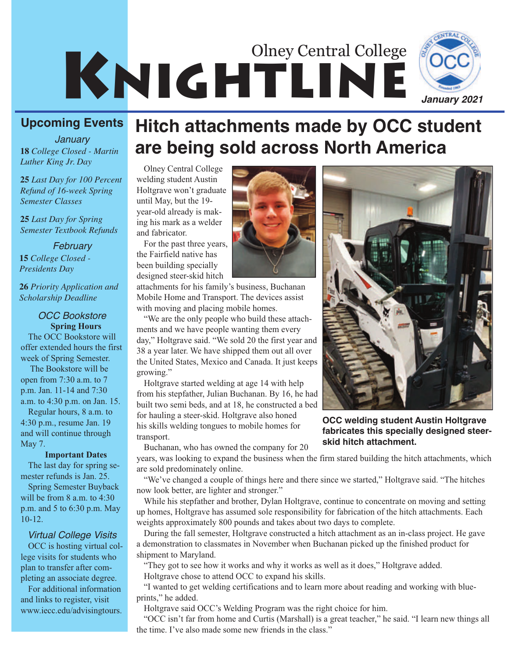# KNIGHTLINE Olney Central College



### **Upcoming Events**

*January Luther King Jr. Day*

**25** *Last Day for 100 Percent Refund of 16-week Spring Semester Classes*

**25** *Last Day for Spring Semester Textbook Refunds*

#### *February*

**15** *College Closed - Presidents Day*

**26** *Priority Application and Scholarship Deadline*

#### **Spring Hours** *OCC Bookstore*

The OCC Bookstore will offer extended hours the first week of Spring Semester.

The Bookstore will be open from 7:30 a.m. to 7 p.m. Jan. 11-14 and 7:30 a.m. to 4:30 p.m. on Jan. 15.

Regular hours, 8 a.m. to 4:30 p.m., resume Jan. 19 and will continue through May 7.

#### **Important Dates**

The last day for spring semester refunds is Jan. 25.

Spring Semester Buyback will be from 8 a.m. to 4:30 p.m. and 5 to 6:30 p.m. May 10-12.

#### *Virtual College Visits*

OCC is hosting virtual college visits for students who plan to transfer after completing an associate degree.

For additional information and links to register, visit www.iecc.edu/advisingtours.

# **Hitch attachments made by OCC student <sup>18</sup>***College Closed - Martin* **are being sold across North America**

Olney Central College welding student Austin Holtgrave won't graduate until May, but the 19 year-old already is making his mark as a welder and fabricator.

For the past three years, the Fairfield native has been building specially designed steer-skid hitch

attachments for his family's business, Buchanan Mobile Home and Transport. The devices assist with moving and placing mobile homes.

"We are the only people who build these attachments and we have people wanting them every day," Holtgrave said. "We sold 20 the first year and 38 a year later. We have shipped them out all over the United States, Mexico and Canada. It just keeps growing."

Holtgrave started welding at age 14 with help from his stepfather, Julian Buchanan. By 16, he had built two semi beds, and at 18, he constructed a bed for hauling a steer-skid. Holtgrave also honed his skills welding tongues to mobile homes for transport.

Buchanan, who has owned the company for 20

years, was looking to expand the business when the firm stared building the hitch attachments, which are sold predominately online.

"We've changed a couple of things here and there since we started," Holtgrave said. "The hitches now look better, are lighter and stronger."

While his stepfather and brother, Dylan Holtgrave, continue to concentrate on moving and setting up homes, Holtgrave has assumed sole responsibility for fabrication of the hitch attachments. Each weights approximately 800 pounds and takes about two days to complete.

During the fall semester, Holtgrave constructed a hitch attachment as an in-class project. He gave a demonstration to classmates in November when Buchanan picked up the finished product for shipment to Maryland.

"They got to see how it works and why it works as well as it does," Holtgrave added. Holtgrave chose to attend OCC to expand his skills.

"I wanted to get welding certifications and to learn more about reading and working with blueprints," he added.

Holtgrave said OCC's Welding Program was the right choice for him.

"OCC isn't far from home and Curtis (Marshall) is a great teacher," he said. "I learn new things all the time. I've also made some new friends in the class."



**OCC welding student Austin Holtgrave fabricates this specially designed steerskid hitch attachment.** 

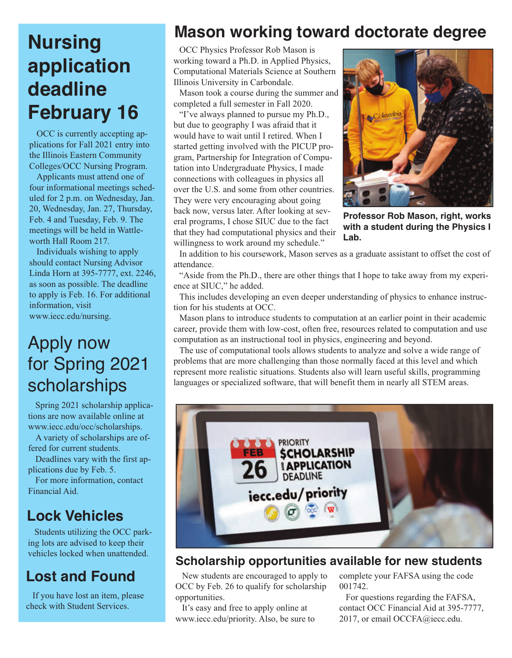# **Nursing application deadline February 16**

OCC is currently accepting applications for Fall 2021 entry into the Illinois Eastern Community Colleges/OCC Nursing Program.

Applicants must attend one of four informational meetings scheduled for 2 p.m. on Wednesday, Jan. 20, Wednesday, Jan. 27, Thursday, Feb. 4 and Tuesday, Feb. 9. The meetings will be held in Wattleworth Hall Room 217.

Individuals wishing to apply should contact Nursing Advisor Linda Horn at 395-7777, ext. 2246, as soon as possible. The deadline to apply is Feb. 16. For additional information, visit www.iecc.edu/nursing.

# Apply now for Spring 2021 scholarships

Spring 2021 scholarship applications are now available online at www.iecc.edu/occ/scholarships.

A variety of scholarships are offered for current students.

Deadlines vary with the first applications due by Feb. 5.

For more information, contact Financial Aid.

### **Lock Vehicles**

Students utilizing the OCC parking lots are advised to keep their vehicles locked when unattended.

### **Lost and Found**

If you have lost an item, please check with Student Services.

### **Mason working toward doctorate degree**

OCC Physics Professor Rob Mason is working toward a Ph.D. in Applied Physics, Computational Materials Science at Southern Illinois University in Carbondale.

Mason took a course during the summer and completed a full semester in Fall 2020.

"I've always planned to pursue my Ph.D., but due to geography I was afraid that it would have to wait until I retired. When I started getting involved with the PICUP program, Partnership for Integration of Computation into Undergraduate Physics, I made connections with colleagues in physics all over the U.S. and some from other countries. They were very encouraging about going back now, versus later. After looking at several programs, I chose SIUC due to the fact that they had computational physics and their willingness to work around my schedule."



**Professor Rob Mason, right, works with a student during the Physics I Lab.**

In addition to his coursework, Mason serves as a graduate assistant to offset the cost of attendance.

"Aside from the Ph.D., there are other things that I hope to take away from my experience at SIUC," he added.

This includes developing an even deeper understanding of physics to enhance instruction for his students at OCC.

Mason plans to introduce students to computation at an earlier point in their academic career, provide them with low-cost, often free, resources related to computation and use computation as an instructional tool in physics, engineering and beyond.

The use of computational tools allows students to analyze and solve a wide range of problems that are more challenging than those normally faced at this level and which represent more realistic situations. Students also will learn useful skills, programming languages or specialized software, that will benefit them in nearly all STEM areas.



### **Scholarship opportunities available for new students**

New students are encouraged to apply to OCC by Feb. 26 to qualify for scholarship opportunities.

It's easy and free to apply online at www.iecc.edu/priority. Also, be sure to complete your FAFSA using the code 001742.

For questions regarding the FAFSA, contact OCC Financial Aid at 395-7777, 2017, or email OCCFA@iecc.edu.